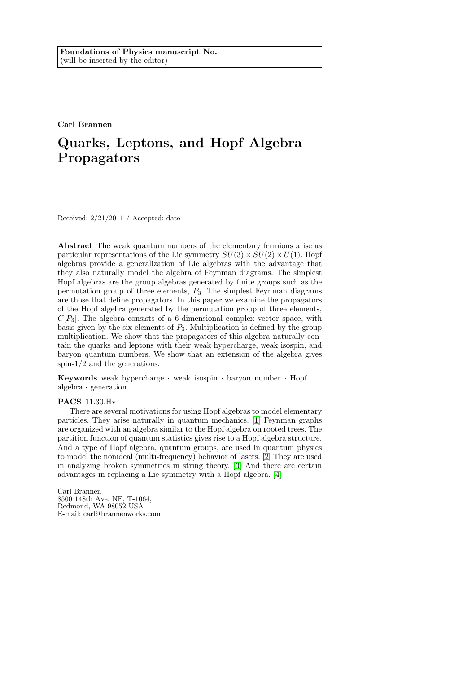Carl Brannen

# Quarks, Leptons, and Hopf Algebra Propagators

Received: 2/21/2011 / Accepted: date

Abstract The weak quantum numbers of the elementary fermions arise as particular representations of the Lie symmetry  $SU(3) \times SU(2) \times U(1)$ . Hopf algebras provide a generalization of Lie algebras with the advantage that they also naturally model the algebra of Feynman diagrams. The simplest Hopf algebras are the group algebras generated by finite groups such as the permutation group of three elements,  $P_3$ . The simplest Feynman diagrams are those that define propagators. In this paper we examine the propagators of the Hopf algebra generated by the permutation group of three elements,  $C[P_3]$ . The algebra consists of a 6-dimensional complex vector space, with basis given by the six elements of  $P_3$ . Multiplication is defined by the group multiplication. We show that the propagators of this algebra naturally contain the quarks and leptons with their weak hypercharge, weak isospin, and baryon quantum numbers. We show that an extension of the algebra gives spin-1/2 and the generations.

Keywords weak hypercharge  $\cdot$  weak isospin  $\cdot$  baryon number  $\cdot$  Hopf algebra · generation

#### PACS 11.30.Hv

There are several motivations for using Hopf algebras to model elementary particles. They arise naturally in quantum mechanics. [\[1\]](#page-11-0) Feynman graphs are organized with an algebra similar to the Hopf algebra on rooted trees. The partition function of quantum statistics gives rise to a Hopf algebra structure. And a type of Hopf algebra, quantum groups, are used in quantum physics to model the nonideal (multi-frequency) behavior of lasers. [\[2\]](#page-11-1) They are used in analyzing broken symmetries in string theory. [\[3\]](#page-11-2) And there are certain advantages in replacing a Lie symmetry with a Hopf algebra. [\[4\]](#page-11-3)

Carl Brannen 8500 148th Ave. NE, T-1064, Redmond, WA 98052 USA E-mail: carl@brannenworks.com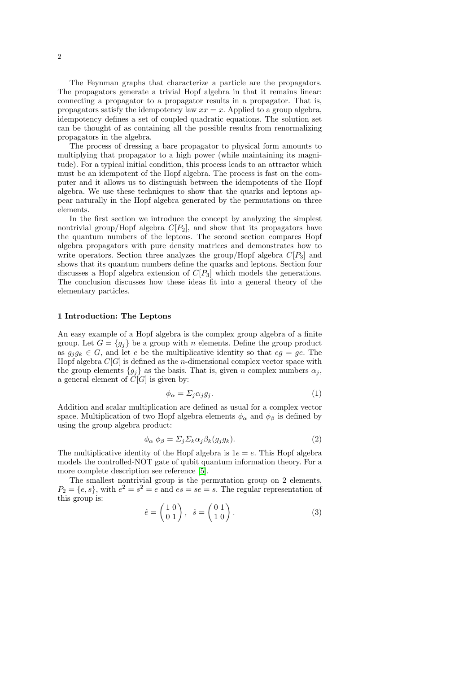The Feynman graphs that characterize a particle are the propagators. The propagators generate a trivial Hopf algebra in that it remains linear: connecting a propagator to a propagator results in a propagator. That is, propagators satisfy the idempotency law  $xx = x$ . Applied to a group algebra, idempotency defines a set of coupled quadratic equations. The solution set can be thought of as containing all the possible results from renormalizing propagators in the algebra.

The process of dressing a bare propagator to physical form amounts to multiplying that propagator to a high power (while maintaining its magnitude). For a typical initial condition, this process leads to an attractor which must be an idempotent of the Hopf algebra. The process is fast on the computer and it allows us to distinguish between the idempotents of the Hopf algebra. We use these techniques to show that the quarks and leptons appear naturally in the Hopf algebra generated by the permutations on three elements.

In the first section we introduce the concept by analyzing the simplest nontrivial group/Hopf algebra  $C[P_2]$ , and show that its propagators have the quantum numbers of the leptons. The second section compares Hopf algebra propagators with pure density matrices and demonstrates how to write operators. Section three analyzes the group/Hopf algebra  $C[P_3]$  and shows that its quantum numbers define the quarks and leptons. Section four discusses a Hopf algebra extension of  $C[P_3]$  which models the generations. The conclusion discusses how these ideas fit into a general theory of the elementary particles.

### 1 Introduction: The Leptons

An easy example of a Hopf algebra is the complex group algebra of a finite group. Let  $G = \{g_i\}$  be a group with n elements. Define the group product as  $g_j g_k \in G$ , and let e be the multiplicative identity so that  $eg = ge$ . The Hopf algebra  $C[G]$  is defined as the *n*-dimensional complex vector space with the group elements  ${g_j}$  as the basis. That is, given n complex numbers  $\alpha_j$ , a general element of  $\tilde{C}[G]$  is given by:

$$
\phi_{\alpha} = \Sigma_j \alpha_j g_j. \tag{1}
$$

Addition and scalar multiplication are defined as usual for a complex vector space. Multiplication of two Hopf algebra elements  $\phi_{\alpha}$  and  $\phi_{\beta}$  is defined by using the group algebra product:

$$
\phi_{\alpha} \; \phi_{\beta} = \Sigma_j \Sigma_k \alpha_j \beta_k (g_j g_k). \tag{2}
$$

The multiplicative identity of the Hopf algebra is  $1e = e$ . This Hopf algebra models the controlled-NOT gate of qubit quantum information theory. For a more complete description see reference [\[5\]](#page-11-4).

The smallest nontrivial group is the permutation group on 2 elements,  $P_2 = \{e, s\}$ , with  $e^2 = s^2 = e$  and  $es = se = s$ . The regular representation of this group is:

$$
\hat{e} = \begin{pmatrix} 1 & 0 \\ 0 & 1 \end{pmatrix}, \quad \hat{s} = \begin{pmatrix} 0 & 1 \\ 1 & 0 \end{pmatrix}.
$$
 (3)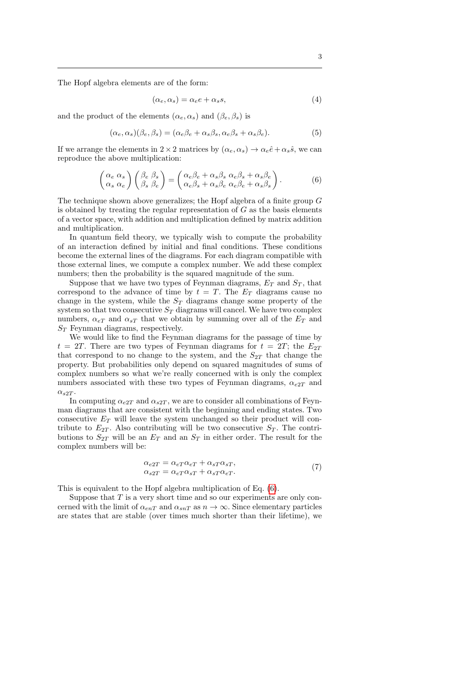The Hopf algebra elements are of the form:

$$
(\alpha_e, \alpha_s) = \alpha_e e + \alpha_s s,\tag{4}
$$

and the product of the elements  $(\alpha_e, \alpha_s)$  and  $(\beta_e, \beta_s)$  is

$$
(\alpha_e, \alpha_s)(\beta_e, \beta_s) = (\alpha_e \beta_e + \alpha_s \beta_s, \alpha_e \beta_s + \alpha_s \beta_e). \tag{5}
$$

If we arrange the elements in  $2 \times 2$  matrices by  $(\alpha_e, \alpha_s) \rightarrow \alpha_e \hat{e} + \alpha_s \hat{s}$ , we can reproduce the above multiplication:

<span id="page-2-0"></span>
$$
\begin{pmatrix}\n\alpha_e & \alpha_s \\
\alpha_s & \alpha_e\n\end{pmatrix}\n\begin{pmatrix}\n\beta_e & \beta_s \\
\beta_s & \beta_e\n\end{pmatrix} =\n\begin{pmatrix}\n\alpha_e \beta_e + \alpha_s \beta_s & \alpha_e \beta_s + \alpha_s \beta_e \\
\alpha_e \beta_s + \alpha_s \beta_e & \alpha_e \beta_e + \alpha_s \beta_s\n\end{pmatrix}.
$$
\n(6)

The technique shown above generalizes; the Hopf algebra of a finite group G is obtained by treating the regular representation of  $G$  as the basis elements of a vector space, with addition and multiplication defined by matrix addition and multiplication.

In quantum field theory, we typically wish to compute the probability of an interaction defined by initial and final conditions. These conditions become the external lines of the diagrams. For each diagram compatible with those external lines, we compute a complex number. We add these complex numbers; then the probability is the squared magnitude of the sum.

Suppose that we have two types of Feynman diagrams,  $E_T$  and  $S_T$ , that correspond to the advance of time by  $t = T$ . The  $E_T$  diagrams cause no change in the system, while the  $S_T$  diagrams change some property of the system so that two consecutive  $S_T$  diagrams will cancel. We have two complex numbers,  $\alpha_{eT}$  and  $\alpha_{sT}$  that we obtain by summing over all of the  $E_T$  and  $S_T$  Feynman diagrams, respectively.

We would like to find the Feynman diagrams for the passage of time by  $t = 2T$ . There are two types of Feynman diagrams for  $t = 2T$ ; the  $E_{2T}$ that correspond to no change to the system, and the  $S_{2T}$  that change the property. But probabilities only depend on squared magnitudes of sums of complex numbers so what we're really concerned with is only the complex numbers associated with these two types of Feynman diagrams,  $\alpha_{e2T}$  and  $\alpha_{s2T}$ .

In computing  $\alpha_{e2T}$  and  $\alpha_{s2T}$ , we are to consider all combinations of Feynman diagrams that are consistent with the beginning and ending states. Two consecutive  $E_T$  will leave the system unchanged so their product will contribute to  $E_{2T}$ . Also contributing will be two consecutive  $S_T$ . The contributions to  $S_{2T}$  will be an  $E_T$  and an  $S_T$  in either order. The result for the complex numbers will be:

$$
\alpha_{e2T} = \alpha_{eT}\alpha_{eT} + \alpha_{sT}\alpha_{sT},
$$
  
\n
$$
\alpha_{s2T} = \alpha_{eT}\alpha_{sT} + \alpha_{sT}\alpha_{eT}.
$$
\n(7)

This is equivalent to the Hopf algebra multiplication of Eq. [\(6\)](#page-2-0).

Suppose that  $T$  is a very short time and so our experiments are only concerned with the limit of  $\alpha_{enT}$  and  $\alpha_{snT}$  as  $n \to \infty$ . Since elementary particles are states that are stable (over times much shorter than their lifetime), we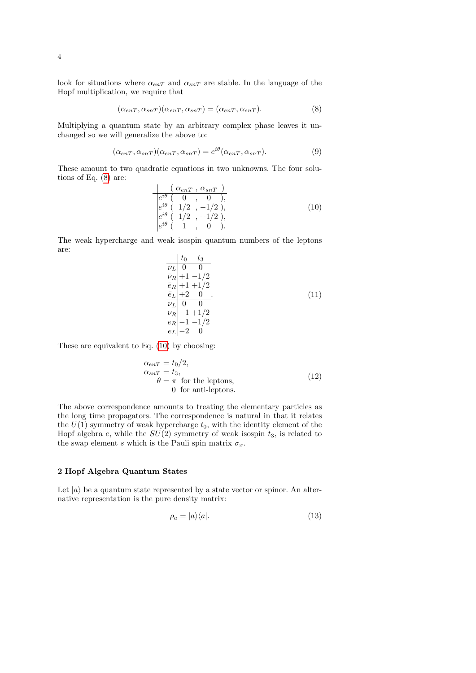look for situations where  $\alpha_{enT}$  and  $\alpha_{snT}$  are stable. In the language of the Hopf multiplication, we require that

<span id="page-3-0"></span>
$$
(\alpha_{enT}, \alpha_{snT})(\alpha_{enT}, \alpha_{snT}) = (\alpha_{enT}, \alpha_{snT}).
$$
\n(8)

Multiplying a quantum state by an arbitrary complex phase leaves it unchanged so we will generalize the above to:

$$
(\alpha_{enT}, \alpha_{snT})(\alpha_{enT}, \alpha_{snT}) = e^{i\theta}(\alpha_{enT}, \alpha_{snT}).
$$
\n(9)

These amount to two quadratic equations in two unknowns. The four solutions of Eq. [\(8\)](#page-3-0) are:

<span id="page-3-1"></span>
$$
\frac{( \alpha_{enT} , \alpha_{snT} )}{e^{i\theta} ( \ 0 , \ 0 )},
$$
\n
$$
\frac{e^{i\theta} ( \ 1/2 , -1/2 )}{e^{i\theta} ( \ 1/2 , +1/2 )},
$$
\n
$$
\frac{e^{i\theta} ( \ 1 , \ 0 )}{e^{i\theta} ( \ 1 , \ 0 )}.
$$
\n(10)

The weak hypercharge and weak isospin quantum numbers of the leptons are:

$$
\begin{array}{ccc}\n t_0 & t_3 \\
\overline{\nu}_L & 0 & 0 \\
\overline{\nu}_R & +1 & -1/2 \\
\overline{e}_R & +1 & +1/2 \\
\overline{e}_L & +2 & 0 \\
\overline{\nu}_L & 0 & 0 \\
\nu_R & -1 & +1/2 \\
\overline{e}_L & -2 & 0\n\end{array} (11)
$$

These are equivalent to Eq. [\(10\)](#page-3-1) by choosing:

$$
\alpha_{enT} = t_0/2,
$$
  
\n
$$
\alpha_{snT} = t_3,
$$
  
\n
$$
\theta = \pi \text{ for the leptons,}
$$
  
\n0 for anti-leptons. (12)

The above correspondence amounts to treating the elementary particles as the long time propagators. The correspondence is natural in that it relates the  $U(1)$  symmetry of weak hypercharge  $t_0$ , with the identity element of the Hopf algebra e, while the  $SU(2)$  symmetry of weak isospin  $t_3$ , is related to the swap element s which is the Pauli spin matrix  $\sigma_x$ .

# 2 Hopf Algebra Quantum States

Let  $|a\rangle$  be a quantum state represented by a state vector or spinor. An alternative representation is the pure density matrix:

$$
\rho_a = |a\rangle\langle a|.\tag{13}
$$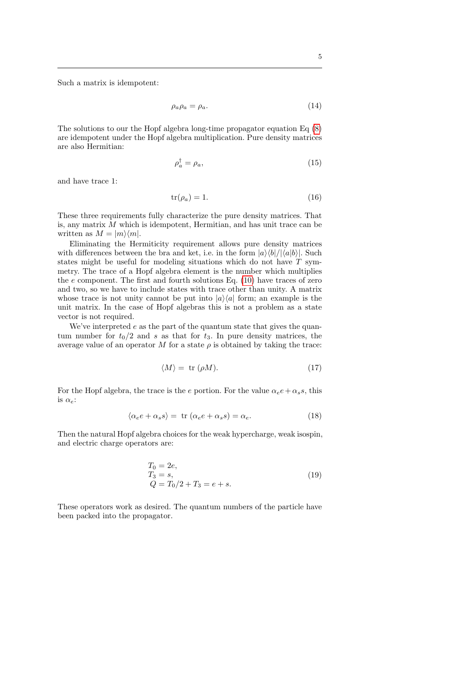Such a matrix is idempotent:

$$
\rho_a \rho_a = \rho_a. \tag{14}
$$

The solutions to our the Hopf algebra long-time propagator equation Eq [\(8\)](#page-3-0) are idempotent under the Hopf algebra multiplication. Pure density matrices are also Hermitian:

$$
\rho_a^{\dagger} = \rho_a,\tag{15}
$$

and have trace 1:

$$
tr(\rho_a) = 1.
$$
\n(16)

These three requirements fully characterize the pure density matrices. That is, any matrix  $M$  which is idempotent, Hermitian, and has unit trace can be written as  $M = |m\rangle\langle m|$ .

Eliminating the Hermiticity requirement allows pure density matrices with differences between the bra and ket, i.e. in the form  $|a\rangle\langle b|/|\langle a|b\rangle|$ . Such states might be useful for modeling situations which do not have T symmetry. The trace of a Hopf algebra element is the number which multiplies the  $e$  component. The first and fourth solutions Eq. [\(10\)](#page-3-1) have traces of zero and two, so we have to include states with trace other than unity. A matrix whose trace is not unity cannot be put into  $|a\rangle\langle a|$  form; an example is the unit matrix. In the case of Hopf algebras this is not a problem as a state vector is not required.

We've interpreted  $e$  as the part of the quantum state that gives the quantum number for  $t_0/2$  and s as that for  $t_3$ . In pure density matrices, the average value of an operator M for a state  $\rho$  is obtained by taking the trace:

$$
\langle M \rangle = \text{ tr } (\rho M). \tag{17}
$$

For the Hopf algebra, the trace is the e portion. For the value  $\alpha_e e + \alpha_s s$ , this is  $\alpha_e$ :

$$
\langle \alpha_e e + \alpha_s s \rangle = \text{ tr } (\alpha_e e + \alpha_s s) = \alpha_e. \tag{18}
$$

Then the natural Hopf algebra choices for the weak hypercharge, weak isospin, and electric charge operators are:

$$
T_0 = 2e,
$$
  
\n
$$
T_3 = s,
$$
  
\n
$$
Q = T_0/2 + T_3 = e + s.
$$
\n(19)

These operators work as desired. The quantum numbers of the particle have been packed into the propagator.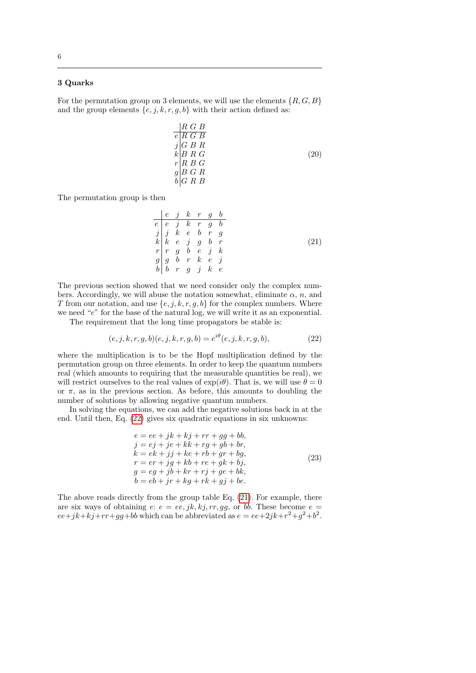# 6

# 3 Quarks

For the permutation group on 3 elements, we will use the elements  $\{R, G, B\}$ and the group elements  $\{e, j, k, r, g, b\}$  with their action defined as:

$$
\begin{array}{l}\nR G B \\
\hline\ne R G B \\
j G B R \\
k B R G \\
r R B G \\
g B G R \\
b G R B\n\end{array} \tag{20}
$$

The permutation group is then

<span id="page-5-1"></span>
$$
\begin{array}{c|cccc}\n e & j & k & r & g & b \\
 e & e & j & k & r & g & b \\
 j & j & k & e & b & r & g \\
 k & e & j & g & b & r \\
 r & r & g & b & e & j & k \\
 g & g & b & r & k & e & j \\
 b & r & g & j & k & e\n\end{array} \tag{21}
$$

The previous section showed that we need consider only the complex numbers. Accordingly, we will abuse the notation somewhat, eliminate  $\alpha$ , n, and T from our notation, and use  $\{e, j, k, r, g, b\}$  for the complex numbers. Where we need "e" for the base of the natural log, we will write it as an exponential.

The requirement that the long time propagators be stable is:

<span id="page-5-0"></span>
$$
(e, j, k, r, g, b)(e, j, k, r, g, b) = e^{i\theta}(e, j, k, r, g, b),
$$
\n(22)

where the multiplication is to be the Hopf multiplication defined by the permutation group on three elements. In order to keep the quantum numbers real (which amounts to requiring that the measurable quantities be real), we will restrict ourselves to the real values of  $\exp(i\theta)$ . That is, we will use  $\theta = 0$ or  $\pi$ , as in the previous section. As before, this amounts to doubling the number of solutions by allowing negative quantum numbers.

In solving the equations, we can add the negative solutions back in at the end. Until then, Eq. [\(22\)](#page-5-0) gives six quadratic equations in six unknowns:

$$
e = ee + jk + kj + rr + gg + bb,
$$
  
\n
$$
j = ej + je + kk + rg + gb + br,
$$
  
\n
$$
k = ek + jj + ke + rb + gr + bg,
$$
  
\n
$$
r = er + jg + kb + re + gk + bj,
$$
  
\n
$$
g = eg + jb + kr + rj + ge + bk,
$$
  
\n
$$
b = eb + jr + kg + rk + gj + be.
$$
\n(23)

The above reads directly from the group table Eq. [\(21\)](#page-5-1). For example, there are six ways of obtaining  $e: e = ee, jk, kj, rr, gg$ , or bb. These become  $e =$  $ee+jk+kj+rr+gg+bb$  which can be abbreviated as  $e=ee+2jk+r^2+g^2+b^2$ .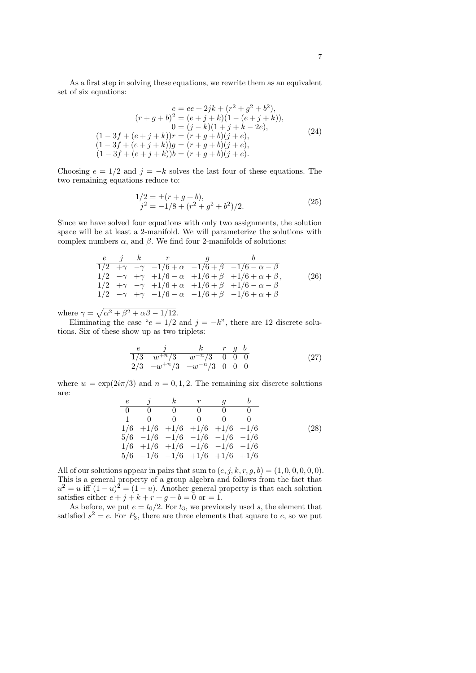As a first step in solving these equations, we rewrite them as an equivalent set of six equations:

$$
e = ee + 2jk + (r^2 + g^2 + b^2),
$$
  
\n
$$
(r + g + b)^2 = (e + j + k)(1 - (e + j + k)),
$$
  
\n
$$
0 = (j - k)(1 + j + k - 2e),
$$
  
\n
$$
(1 - 3f + (e + j + k))r = (r + g + b)(j + e),
$$
  
\n
$$
(1 - 3f + (e + j + k))g = (r + g + b)(j + e),
$$
  
\n
$$
(1 - 3f + (e + j + k))b = (r + g + b)(j + e).
$$
  
\n(24)

Choosing  $e = 1/2$  and  $j = -k$  solves the last four of these equations. The two remaining equations reduce to:

$$
1/2 = \pm (r + g + b), \nj^2 = -1/8 + (r^2 + g^2 + b^2)/2.
$$
\n(25)

Since we have solved four equations with only two assignments, the solution space will be at least a 2-manifold. We will parameterize the solutions with complex numbers  $\alpha$ , and  $\beta$ . We find four 2-manifolds of solutions:

<span id="page-6-1"></span>
$$
\begin{array}{ccccccccc}\ne & j & k & r & g & b \\
\hline\n1/2 & +\gamma & -\gamma & -1/6 + \alpha & -1/6 + \beta & -1/6 - \alpha - \beta \\
1/2 & -\gamma & +\gamma & +1/6 - \alpha & +1/6 + \beta & +1/6 + \alpha + \beta, \\
1/2 & +\gamma & -\gamma & +1/6 + \alpha & +1/6 + \beta & +1/6 - \alpha - \beta \\
1/2 & -\gamma & +\gamma & -1/6 - \alpha & -1/6 + \beta & -1/6 + \alpha + \beta\n\end{array} \tag{26}
$$

where  $\gamma = \sqrt{\alpha^2 + \beta^2 + \alpha \beta - 1/12}$ .

Eliminating the case " $e = 1/2$  and  $j = -k$ ", there are 12 discrete solutions. Six of these show up as two triplets:

<span id="page-6-0"></span>
$$
\begin{array}{ccccccccc}\ne & j & k & r & g & b \\
\hline\n1/3 & w^{+n}/3 & w^{-n}/3 & 0 & 0 & 0 \\
2/3 & -w^{+n}/3 & -w^{-n}/3 & 0 & 0 & 0\n\end{array} \tag{27}
$$

where  $w = \exp(2i\pi/3)$  and  $n = 0, 1, 2$ . The remaining six discrete solutions are:

| $e$   | $j$    | $k$    | $r$    | $g$    | $b$    |
|-------|--------|--------|--------|--------|--------|
| 0     | 0      | 0      | 0      | 0      | 0      |
| 1     | 0      | 0      | 0      | 0      | 0      |
| $1/6$ | $+1/6$ | $+1/6$ | $+1/6$ | $+1/6$ | $+1/6$ |
| $5/6$ | $-1/6$ | $-1/6$ | $-1/6$ | $-1/6$ |        |
| $1/6$ | $+1/6$ | $+1/6$ | $-1/6$ | $-1/6$ |        |
| $5/6$ | $-1/6$ | $-1/6$ | $+1/6$ | $+1/6$ |        |

All of our solutions appear in pairs that sum to  $(e, j, k, r, g, b) = (1, 0, 0, 0, 0, 0)$ . This is a general property of a group algebra and follows from the fact that  $u^2 = u$  iff  $(1 - u)^2 = (1 - u)$ . Another general property is that each solution satisfies either  $e + j + k + r + g + b = 0$  or  $= 1$ .

As before, we put  $e = t_0/2$ . For  $t_3$ , we previously used s, the element that satisfied  $s^2 = e$ . For  $P_3$ , there are three elements that square to e, so we put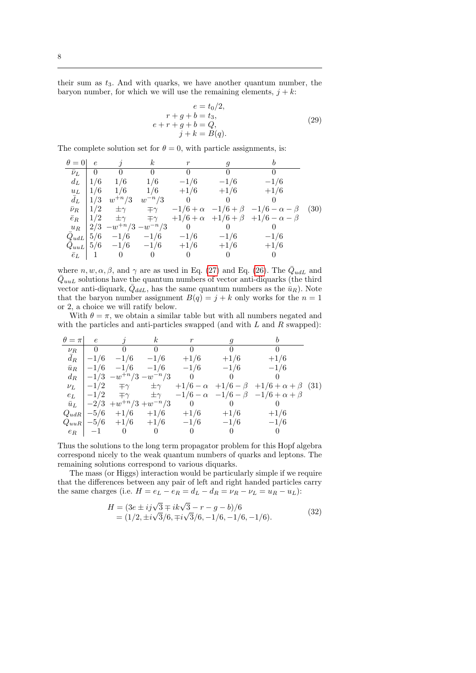their sum as  $t_3$ . And with quarks, we have another quantum number, the baryon number, for which we will use the remaining elements,  $j + k$ :

$$
e = t_0/2,
$$
  
\n
$$
r + g + b = t_3,
$$
  
\n
$$
e + r + g + b = Q,
$$
  
\n
$$
j + k = B(q).
$$
\n(29)

The complete solution set for  $\theta = 0$ , with particle assignments, is:

<span id="page-7-0"></span>

| $\theta = 0$        | $\epsilon$    | $\hat{i}$                          | $\kappa$          |          |          |                                                        |      |
|---------------------|---------------|------------------------------------|-------------------|----------|----------|--------------------------------------------------------|------|
| $\bar{\nu}_L$   0   |               | $\overline{0}$                     | $\hspace{0.6cm}0$ |          | $\Omega$ |                                                        |      |
| $d_L$               | $\frac{1}{6}$ | 1/6                                | 1/6               | $-1/6$   | $-1/6$   | $-1/6$                                                 |      |
| $u_L$               | $\frac{1}{6}$ | 1/6                                | 1/6               | $+1/6$   | $+1/6$   | $+1/6$                                                 |      |
| $\bar{d}_L$         | $\mid 1/3$    | $w^{+n}/3$                         | $w^{-n}/3$        | $\theta$ |          |                                                        |      |
| $\bar{\nu}_R$   1/2 |               | $\pm\gamma$                        | $\mp\gamma$       |          |          | $-1/6 + \alpha$ $-1/6 + \beta$ $-1/6 - \alpha - \beta$ | (30) |
| $\bar{e}_R$         |               | $1/2 \quad \pm \gamma$             | $\mp\gamma$       |          |          | $+1/6 + \alpha + 1/6 + \beta + 1/6 - \alpha - \beta$   |      |
|                     |               | $u_R$   2/3 $-w^{+n}/3 - w^{-n}/3$ |                   |          |          |                                                        |      |
| $Q_{udL}$ 5/6       |               | $-1/6$ $-1/6$                      |                   | $-1/6$   | $-1/6$   | $-1/6$                                                 |      |
|                     |               | $Q_{uuL}$ 5/6 $-1/6$ $-1/6$        |                   | $+1/6$   | $+1/6$   | $+1/6$                                                 |      |
| $\bar{e}_L$         |               |                                    | $\Omega$          |          |          |                                                        |      |

where  $n, w, \alpha, \beta$ , and  $\gamma$  are as used in Eq. [\(27\)](#page-6-0) and Eq. [\(26\)](#page-6-1). The  $\overline{Q}_{udL}$  and  $\overline{Q}_{uuL}$  solutions have the quantum numbers of vector anti-diquarks (the third vector anti-diquark,  $\overline{Q}_{ddL}$ , has the same quantum numbers as the  $\overline{u}_R$ ). Note that the baryon number assignment  $B(q) = j + k$  only works for the  $n = 1$ or 2, a choice we will ratify below.

With  $\theta = \pi$ , we obtain a similar table but with all numbers negated and with the particles and anti-particles swapped (and with  $L$  and  $R$  swapped):

| $\theta = \pi$ | $\epsilon$     |                                                | $\kappa$                                                  |                |        |                                                                                                                   |  |
|----------------|----------------|------------------------------------------------|-----------------------------------------------------------|----------------|--------|-------------------------------------------------------------------------------------------------------------------|--|
| $\nu_R$        | $\overline{0}$ | $\overline{0}$                                 | - 0                                                       |                |        |                                                                                                                   |  |
| $\bar{d}_R$    | $-1/6$         | $-1/6$                                         | $-1/6$                                                    | $+1/6$         | $+1/6$ | $+1/6$                                                                                                            |  |
| $\bar{u}_R$    |                |                                                | $\begin{vmatrix} -1/6 & -1/6 & -1/6 & -1/6 \end{vmatrix}$ |                | $-1/6$ | $-1/6$                                                                                                            |  |
| $d_R$          |                |                                                | $\vert -1/3 - w^{+n}/3 - w^{-n}/3 \vert$                  | $\overline{0}$ |        |                                                                                                                   |  |
| $\nu_L$        |                | $-1/2$ $\mp \gamma$                            | $\pm \gamma$                                              |                |        | $+1/6 - \alpha + 1/6 - \beta + 1/6 + \alpha + \beta$ (31)                                                         |  |
| $e_L$          |                |                                                |                                                           |                |        | $\vert -1/2 \quad \mp \gamma \quad \pm \gamma \quad -1/6 - \alpha \quad -1/6 - \beta \quad -1/6 + \alpha + \beta$ |  |
|                |                | $\bar{u}_L$   $-2/3$ + $w^{+n}/3$ + $w^{-n}/3$ |                                                           | $\overline{0}$ |        |                                                                                                                   |  |
|                |                |                                                | $ Q_{udR} $ -5/6 +1/6 +1/6                                | $+1/6$         | $+1/6$ | $+1/6$                                                                                                            |  |
|                |                |                                                | $ Q_{uuR} $ $-5/6$ $+1/6$ $+1/6$                          | $-1/6$         | $-1/6$ | $-1/6$                                                                                                            |  |
|                | $e_R$   $-1$   |                                                | $\theta$                                                  |                |        |                                                                                                                   |  |

Thus the solutions to the long term propagator problem for this Hopf algebra correspond nicely to the weak quantum numbers of quarks and leptons. The remaining solutions correspond to various diquarks.

The mass (or Higgs) interaction would be particularly simple if we require that the differences between any pair of left and right handed particles carry the same charges (i.e.  $H = e_L - e_R = d_L - d_R = \nu_R - \nu_L = u_R - u_L$ ):

$$
H = (3e \pm ij\sqrt{3} \mp ik\sqrt{3} - r - g - b)/6
$$
  
= (1/2, \pm i\sqrt{3}/6, \mp i\sqrt{3}/6, -1/6, -1/6, -1/6). (32)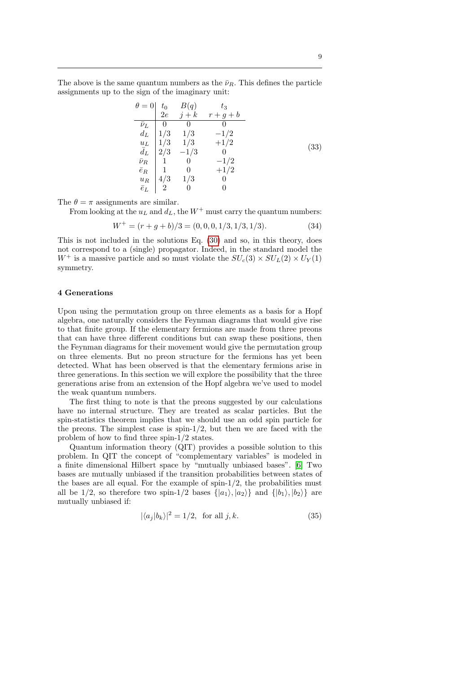The above is the same quantum numbers as the  $\bar{\nu}_R$ . This defines the particle assignments up to the sign of the imaginary unit:

$$
\theta = 0 \begin{vmatrix} t_0 & B(q) & t_3 \\ 2e & j+k & r+g+b \\ \overline{\nu}_L & 0 & 0 & 0 \\ d_L & 1/3 & 1/3 & -1/2 \\ u_L & 1/3 & 1/3 & +1/2 \\ \overline{d}_L & 2/3 & -1/3 & 0 \\ \overline{\nu}_R & 1 & 0 & -1/2 \\ \overline{e}_R & 1 & 0 & +1/2 \\ u_R & 4/3 & 1/3 & 0 \\ \overline{e}_L & 2 & 0 & 0 \end{vmatrix}
$$
\n(33)

The  $\theta = \pi$  assignments are similar.

From looking at the  $u<sub>L</sub>$  and  $d<sub>L</sub>$ , the  $W<sup>+</sup>$  must carry the quantum numbers:

$$
W^{+} = (r + g + b)/3 = (0, 0, 0, 1/3, 1/3, 1/3). \tag{34}
$$

This is not included in the solutions Eq. [\(30\)](#page-7-0) and so, in this theory, does not correspond to a (single) propagator. Indeed, in the standard model the  $W^+$  is a massive particle and so must violate the  $SU_c(3) \times SU_L(2) \times U_Y(1)$ symmetry.

#### 4 Generations

Upon using the permutation group on three elements as a basis for a Hopf algebra, one naturally considers the Feynman diagrams that would give rise to that finite group. If the elementary fermions are made from three preons that can have three different conditions but can swap these positions, then the Feynman diagrams for their movement would give the permutation group on three elements. But no preon structure for the fermions has yet been detected. What has been observed is that the elementary fermions arise in three generations. In this section we will explore the possibility that the three generations arise from an extension of the Hopf algebra we've used to model the weak quantum numbers.

The first thing to note is that the preons suggested by our calculations have no internal structure. They are treated as scalar particles. But the spin-statistics theorem implies that we should use an odd spin particle for the preons. The simplest case is  $\text{spin-1/2}$ , but then we are faced with the problem of how to find three spin-1/2 states.

Quantum information theory (QIT) provides a possible solution to this problem. In QIT the concept of "complementary variables" is modeled in a finite dimensional Hilbert space by "mutually unbiased bases". [\[6\]](#page-11-5) Two bases are mutually unbiased if the transition probabilities between states of the bases are all equal. For the example of  $spin-1/2$ , the probabilities must all be 1/2, so therefore two spin-1/2 bases  $\{|a_1\rangle, |a_2\rangle\}$  and  $\{|b_1\rangle, |b_2\rangle\}$  are mutually unbiased if:

$$
|\langle a_j | b_k \rangle|^2 = 1/2, \text{ for all } j, k. \tag{35}
$$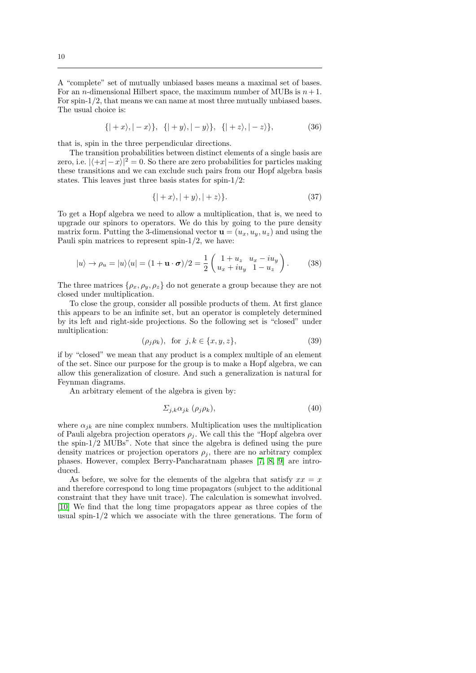A "complete" set of mutually unbiased bases means a maximal set of bases. For an *n*-dimensional Hilbert space, the maximum number of MUBs is  $n+1$ . For spin-1/2, that means we can name at most three mutually unbiased bases. The usual choice is:

$$
\{|+x\rangle, |-x\rangle\}, \{|+y\rangle, |-y\rangle\}, \{|+z\rangle, |-z\rangle\}, \tag{36}
$$

that is, spin in the three perpendicular directions.

The transition probabilities between distinct elements of a single basis are zero, i.e.  $|\langle +x|-x\rangle|^2 = 0$ . So there are zero probabilities for particles making these transitions and we can exclude such pairs from our Hopf algebra basis states. This leaves just three basis states for spin-1/2:

$$
\{|+x\rangle, |+y\rangle, |+z\rangle\}.
$$
\n(37)

To get a Hopf algebra we need to allow a multiplication, that is, we need to upgrade our spinors to operators. We do this by going to the pure density matrix form. Putting the 3-dimensional vector  $\mathbf{u} = (u_x, u_y, u_z)$  and using the Pauli spin matrices to represent spin- $1/2$ , we have:

$$
|u\rangle \to \rho_u = |u\rangle \langle u| = (1 + \mathbf{u} \cdot \boldsymbol{\sigma})/2 = \frac{1}{2} \begin{pmatrix} 1 + u_z & u_x - iu_y \\ u_x + iu_y & 1 - u_z \end{pmatrix}.
$$
 (38)

The three matrices  $\{\rho_x, \rho_y, \rho_z\}$  do not generate a group because they are not closed under multiplication.

To close the group, consider all possible products of them. At first glance this appears to be an infinite set, but an operator is completely determined by its left and right-side projections. So the following set is "closed" under multiplication:

$$
(\rho_j \rho_k), \text{ for } j, k \in \{x, y, z\},\tag{39}
$$

if by "closed" we mean that any product is a complex multiple of an element of the set. Since our purpose for the group is to make a Hopf algebra, we can allow this generalization of closure. And such a generalization is natural for Feynman diagrams.

An arbitrary element of the algebra is given by:

$$
\Sigma_{j,k}\alpha_{jk} \ (\rho_j \rho_k),\tag{40}
$$

where  $\alpha_{ik}$  are nine complex numbers. Multiplication uses the multiplication of Pauli algebra projection operators  $\rho_i$ . We call this the "Hopf algebra over the spin-1/2 MUBs". Note that since the algebra is defined using the pure density matrices or projection operators  $\rho_i$ , there are no arbitrary complex phases. However, complex Berry-Pancharatnam phases [\[7,](#page-11-6) [8,](#page-11-7) [9\]](#page-11-8) are introduced.

As before, we solve for the elements of the algebra that satisfy  $xx = x$ and therefore correspond to long time propagators (subject to the additional constraint that they have unit trace). The calculation is somewhat involved. [\[10\]](#page-11-9) We find that the long time propagators appear as three copies of the usual spin- $1/2$  which we associate with the three generations. The form of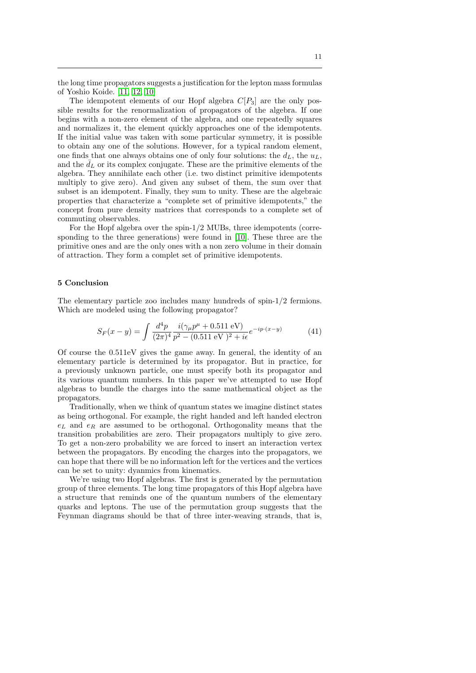the long time propagators suggests a justification for the lepton mass formulas of Yoshio Koide. [\[11,](#page-11-10) [12,](#page-11-11) [10\]](#page-11-9)

The idempotent elements of our Hopf algebra  $C[P_3]$  are the only possible results for the renormalization of propagators of the algebra. If one begins with a non-zero element of the algebra, and one repeatedly squares and normalizes it, the element quickly approaches one of the idempotents. If the initial value was taken with some particular symmetry, it is possible to obtain any one of the solutions. However, for a typical random element, one finds that one always obtains one of only four solutions: the  $d_L$ , the  $u_L$ , and the  $\bar{d}_L$  or its complex conjugate. These are the primitive elements of the algebra. They annihilate each other (i.e. two distinct primitive idempotents multiply to give zero). And given any subset of them, the sum over that subset is an idempotent. Finally, they sum to unity. These are the algebraic properties that characterize a "complete set of primitive idempotents," the concept from pure density matrices that corresponds to a complete set of commuting observables.

For the Hopf algebra over the spin-1/2 MUBs, three idempotents (corresponding to the three generations) were found in [\[10\]](#page-11-9). These three are the primitive ones and are the only ones with a non zero volume in their domain of attraction. They form a complet set of primitive idempotents.

## 5 Conclusion

The elementary particle zoo includes many hundreds of spin-1/2 fermions. Which are modeled using the following propagator?

$$
S_F(x-y) = \int \frac{d^4p}{(2\pi)^4} \frac{i(\gamma_\mu p^\mu + 0.511 \text{ eV})}{p^2 - (0.511 \text{ eV})^2 + i\epsilon} e^{-ip \cdot (x-y)} \tag{41}
$$

Of course the 0.511eV gives the game away. In general, the identity of an elementary particle is determined by its propagator. But in practice, for a previously unknown particle, one must specify both its propagator and its various quantum numbers. In this paper we've attempted to use Hopf algebras to bundle the charges into the same mathematical object as the propagators.

Traditionally, when we think of quantum states we imagine distinct states as being orthogonal. For example, the right handed and left handed electron  $e<sub>L</sub>$  and  $e<sub>R</sub>$  are assumed to be orthogonal. Orthogonality means that the transition probabilities are zero. Their propagators multiply to give zero. To get a non-zero probability we are forced to insert an interaction vertex between the propagators. By encoding the charges into the propagators, we can hope that there will be no information left for the vertices and the vertices can be set to unity: dyanmics from kinematics.

We're using two Hopf algebras. The first is generated by the permutation group of three elements. The long time propagators of this Hopf algebra have a structure that reminds one of the quantum numbers of the elementary quarks and leptons. The use of the permutation group suggests that the Feynman diagrams should be that of three inter-weaving strands, that is,